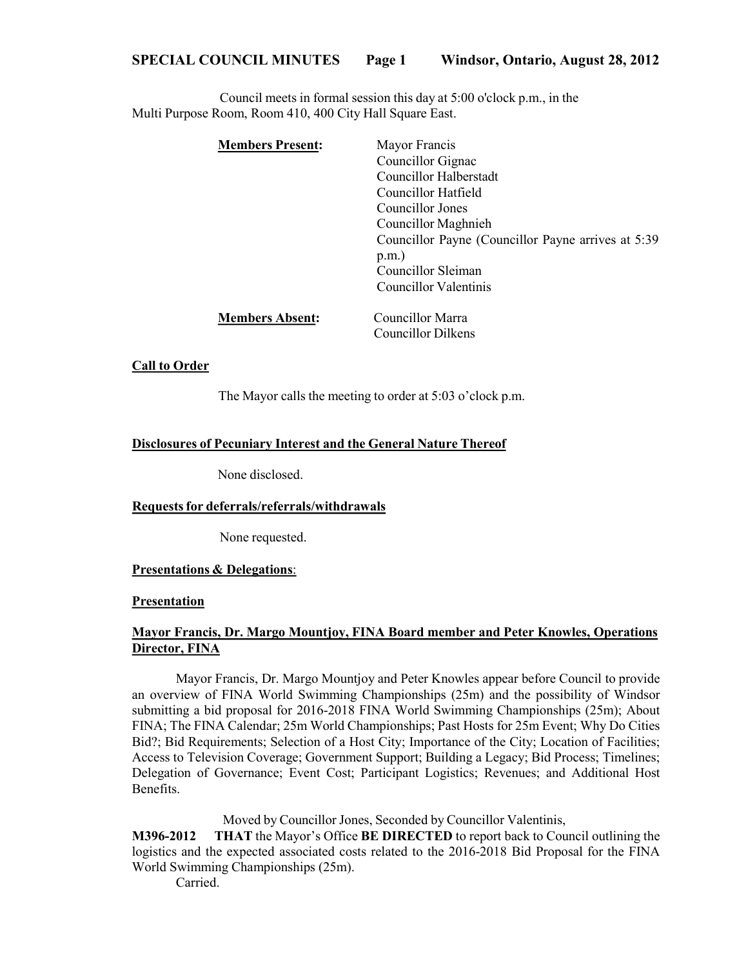Council meets in formal session this day at 5:00 o'clock p.m., in the Multi Purpose Room, Room 410, 400 City Hall Square East.

| <b>Members Present:</b> | Mayor Francis                                       |
|-------------------------|-----------------------------------------------------|
|                         | Councillor Gignac                                   |
|                         | Councillor Halberstadt                              |
|                         | Councillor Hatfield                                 |
|                         | Councillor Jones                                    |
|                         | Councillor Maghnieh                                 |
|                         | Councillor Payne (Councillor Payne arrives at 5:39) |
|                         | $p.m.$ )                                            |
|                         | Councillor Sleiman                                  |
|                         | Councillor Valentinis                               |
| <b>Members Absent:</b>  | Councillor Marra                                    |
|                         | Councillor Dilkens                                  |

#### **Call to Order**

The Mayor calls the meeting to order at 5:03 o'clock p.m.

### **Disclosures of Pecuniary Interest and the General Nature Thereof**

None disclosed.

#### **Requestsfor deferrals/referrals/withdrawals**

None requested.

#### **Presentations & Delegations**:

#### **Presentation**

# **Mayor Francis, Dr. Margo Mountjoy, FINA Board member and Peter Knowles, Operations Director, FINA**

Mayor Francis, Dr. Margo Mountjoy and Peter Knowles appear before Council to provide an overview of FINA World Swimming Championships (25m) and the possibility of Windsor submitting a bid proposal for 2016-2018 FINA World Swimming Championships (25m); About FINA; The FINA Calendar; 25m World Championships; Past Hosts for 25m Event; Why Do Cities Bid?; Bid Requirements; Selection of a Host City; Importance of the City; Location of Facilities; Access to Television Coverage; Government Support; Building a Legacy; Bid Process; Timelines; Delegation of Governance; Event Cost; Participant Logistics; Revenues; and Additional Host Benefits.

Moved by Councillor Jones, Seconded by Councillor Valentinis,

**M396-2012 THAT** the Mayor's Office **BE DIRECTED** to report back to Council outlining the logistics and the expected associated costs related to the 2016-2018 Bid Proposal for the FINA World Swimming Championships (25m).

Carried.